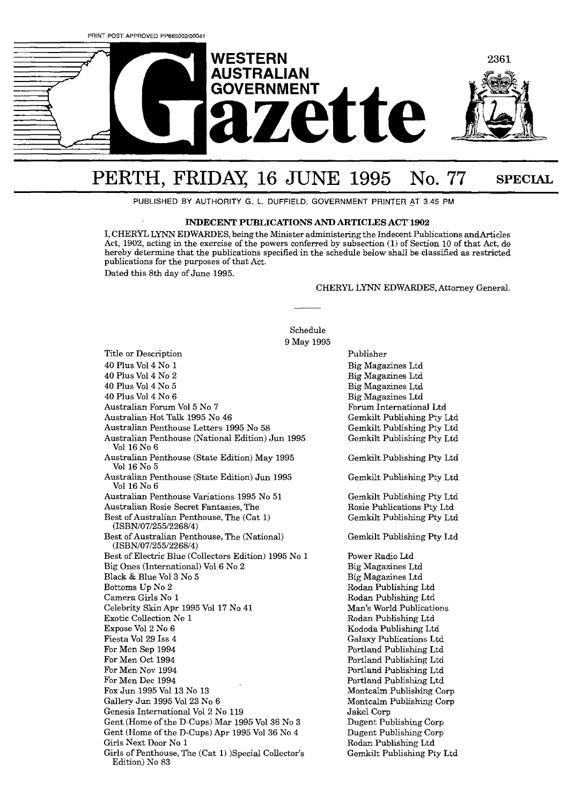

# PERTH, FRIDAY, 16 JUNE 1995 No. 77 SPECIAL

PUBLISHED BY **AUTHORITY G. L.** DUFFIELD, GOVERNMENT PRINTER \_AT **3.45** PM

### **INDECENT PUBLICATIONS AND ARTICLES ACT 1902**

I, CHERYL LYNN EDWARDES, being the Minister administering the Indecent Publications andArticles Act, 1902, acting in the exercise of the powers conferred by subsection (1) of Section 10 of that Act, do hereby determine that the publications specified in the schedule below shall be classified as restricted publications for the purposes of that Act. Dated this 8th day of June 1995.

Schedule

CHERYL LYNN EDWARDES, Attorney General.

9 May 1995 Title or Description 40 Plus V014 No 1 40 Plus V014 No 2 40 Plus V014 No 5 40 Plus V014 No 6 Australian Forum V015 No 7 Australian Hot **Talk** 1995 No 46 Australian Penthouse Letters 1995 No 58 Australian Penthouse (National Edition) Jun 1995 Vol 16 No 6 Australian Penthouse (State Edition) May 1995 Vol 16 No 5 Australian Penthouse (State Edition) Jun 1995 Vol 16 No 6 Australian Penthouse Variations 1995 No 51 Australian Rosie Secret Fantasies, The Best of Australian Penthouse, The (Cat 1) (ISBN/07/255/2268/4) Best of Australian Penthouse, The (National) (ISBN/07/255/2268/4) Best of Electric Blue (Collectors Edition) 1995 No 1 Big Ones (International) V016 No 2 Black & Blue V013 No 5 Bottoms Up No 2 Camera Girls No 1 Celebrity Skin Apr 1995 Vol 17 No 41 Exotic Collection No 1 Expose V012 No 6 Fiesta V0129 Iss 4 For Mcn Sep 1994 For Men Oct 1994 For Men Nov 1994 For Men Dec 1994 Fox Jun 1995 Vol 13 No 13 Gallery Jun X995 V0123 No 6 Genesis International Vol 2 No 119 Gent (Home of the D-Cups) Mar 1995 Vol **36** No **3**  Gent (Home of the D-Cups) Apr 1995 V0136 No 4 Girls Next Door No 1 Girls of Penthouse, The (Cat **1)** )Special Collector's Edition) No 83

Publisher Big Magazines Ltd Big Magazines Ltd Big Magazines Ltd Big Magazines Ltd Forum International Ltd Gemkilt Publishing Pty Ltd Gemkilt Publishing Pty Ltd Gemkilt Publishing Pty Ltd Gemkilt Publishing Pty Ltd Gemkilt Publishing Pty Ltd Gemkilt Publishing Pty Ltd Rosie Publications Pty Ltd Gemkilt Publishing Pty Ltd Gemkilt Publishing Pty Ltd Power Radio Ltd Big Magazines Ltd Big Magazines Ltd Rodan Publishing Ltd Rodan Publishing Ltd Man's World Publications Rodan Publishing Ltd Kododa Publishing Ltd Galaxy Publications Ltd Portland Publishmg Ltd Portland Publishing Ltd Portland Publishing Ltd Portland Publishing Ltd Montcdm Publishing Corp Montcalm Publishing Corp Jakel Corp Dugent Publishing Corp Dugent Publishing Corp Rodan Publishing Ltd Gemkilt Publishing Pty Ltd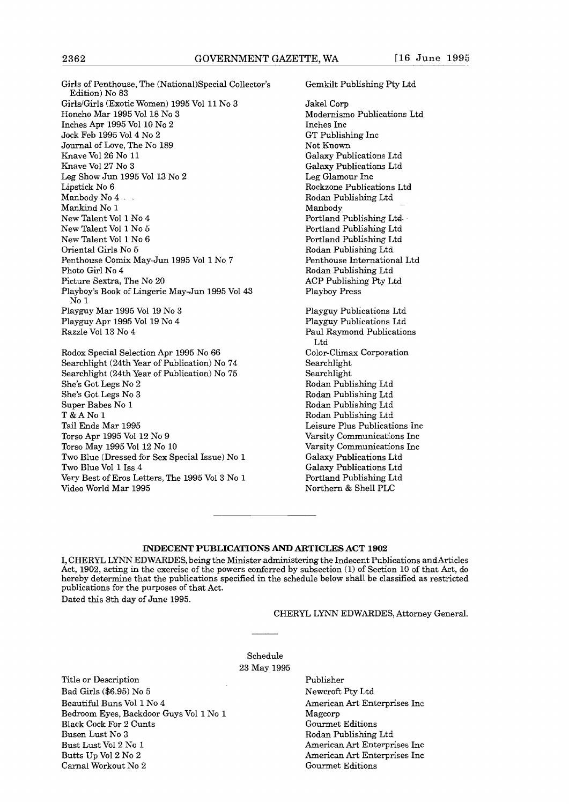Girls of Penthouse, The (Nationa1)Special Collector's Edition) No **83**  GirldGirls (Exotic Women) 1995 Vol 11 No **<sup>3</sup>** Honcho Mar 1995 V0118 No **3**  Inches Apr 1995 Vol 10 No 2 Jock Feb 1995 V014 No 2 Journal of Love, The No 189 Knave V0126 No 11 Knave V0127 No 3 Leg Show Jun 1995 Vol 13 No 2 Lipstick No 6 Manbody No 4 - Mankind No 1 New Talent Vol 1 No 4 New Talent V011 No 5 New Talent V011 No **6**  Oriental Girls No 5 Penthouse Comix May-Jun 1995 Vol 1 No 7 Photo Girl No 4 Picture Sextra, The No 20 Playboy's Book of Lingerie May-Jun 1995 Vol 43 No l Playguy Mar 1995 Vol 19 No **3**  Playguy Apr 1995 V0119 No 4 Razzle Vol **13** No 4

Rodox Special Selection Apr 1995 No 66 Searchlight (24th Year of Publication) No 74 Searchlight (24th Year of Publication) No 75 She's Got Legs No 2 She's Got Legs No **3**  Super Babes No 1 T&ANol Tail Ends Mar 1995 Torso Apr 1995 Vol 12 No 9 Torso May 1995 Vol 12 No 10 Two Blue (Dressed for Sex Special Issue) No 1 Two Blue Vol **1** Iss 4 Very Best of Eros Letters, The 1995 V013 No 1 Video World Mar 1995

Gemkilt Publishing Pty Ltd

Jakel Corp Modernismo Publications Ltd Inches Inc GT Publishing Inc Not Known Galaxy Publications Ltd Gdaxy Publications Ltd Leg Glamour Inc Rockzone Publications Ltd Rodan Publishing Ltd Manbody Portland Publishing Ltd-Portland Publishmg Ltd Portland Publishing Ltd Rodan Publishing Etd Penthouse International Ltd Rodan Publishing Ltd ACP Publishing Pty Ltd Playboy Press Playguy Publications Ltd Playguy Publications Ltd Paul Raymond Publications Ltd Color-Climax Corporation Searchlight Searchlight Rodan Publishing Ltd Rodan Publishing Ltd Rodan Publishing Ltd Rodan Publishing Ltd Leisure Plus Publications Inc Varsity Communications Inc Varsity Communications Inc Galaxy Publications Ltd

# **INDECENT PUBLICATIONS AND ARTICLES ACT 1902**

**I,** CHERYL LXNN EDWARDES, being the Minister administering the Indecent Publications andArticles **Act,** 1902, acting in the exercise of the powers conferred by subsection (1) of Section **10** of that **Act,** do hereby determine that the publications specified in the schedule below shall be classified as restricted publications for the purposes of that Act.

Dated this 8th day of June 1995.

### CHERYL LYNN EDWARDES, Attorney GeneraI.

Galaxy Publications Ltd Portland Publishing Ltd Northern & Shell PLC

Schedule 23 May 1995

Title or Description Bad Girls (\$6.95) No 5 Beautiful Buns Vol 1 No 4 Bedroom Eyes, Backdoor Guys Vol 1 No 1 Black Cock For 2 Cunts Busen Lust No **3**  Bust Lust V012 KO 1 Butts Up V012 No 2 Carnal Workout No 2

Publisher Newcroft Pty Ltd American **Art** Enterprises Inc Magcorp Gourmet Editions Rodan Publishing Ltd American Art Enterprises Inc American Art Enterprises Inc Gourmet Editions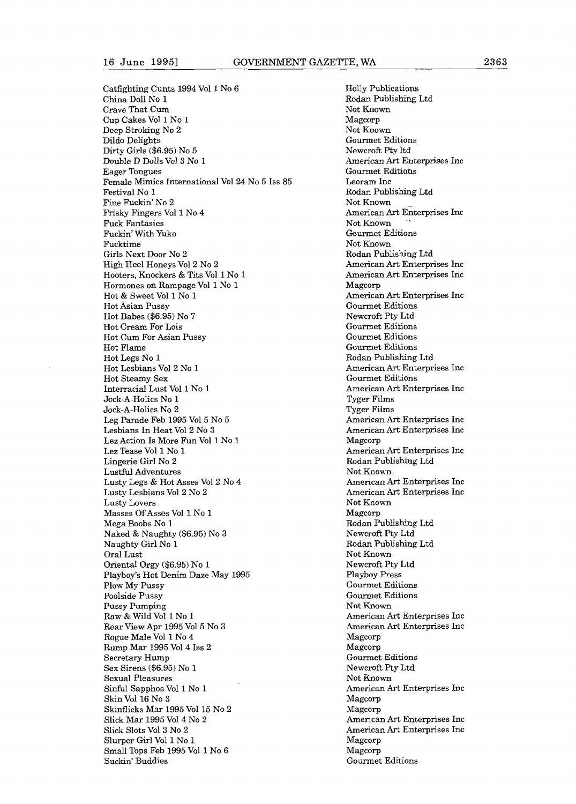Catfighting Cunts 1994 Vol I No 6 China Doll No **1**  Crave That **Cum**  Cup Cakes V011 No 1 Deep Stroking No 2 Dildo Delights Dirty Girls (\$6.95) No 5 Double D DoUs V013 NO 1 Eager Tongues Female Mimics International Vol 24 No 5 Iss 85 Festival No 1 Fine Fuckin' No 2 Frisky Fingers Vol 1 No 4 Fuck Fantasies Fuckin' With Yuko Fucktime Girls Next Door No 2 High Heel Honeys V012 No **2**  Hooters, Knockers & Tits Vol 1 No 1 Hormones on Rampage Vol 1 No 1 Hot & Sweet Vol 1 No 1 Hot Asian Pussy Hot Babes (\$6.95) No 7 Hot Cream For Lois Hot Cum For Asian Pussy Hot Flame Hot Legs No 1 Hot Lesbians Vol 2 No 1 Hot Steamy Sex Interracial Lust Vol 1 No 1 Jock-A-Holics No 1 Jock-A-Holies No 2 Leg Parade Feb 1995 V015 No 5 Lesbians In Heat V012 No 3 Lez Action Is More Fun Vol 1 No 1 Lez Tease Vol 1 No 1 Lingerie Girl No 2 Lustful Adventures Lusty Legs & Hot Asses V012 No 4 Lusty Lesbians V012 No 2 Lusty Lovers Masses Of Asses Vol 1 No 1 Mega Boobs No 1 Naked & Naughty (\$6.95) No 3 Naughty Girl No 1 Oral Lust Oriental Orgy (\$6.95) No l Playboy's Hot Denim Daze May 1995 Plow My Pussy Poolside Pussy Pussy Pumping Raw & Wild Vol 1 No 3 **Rear** View Apr 1995 V015 No 3 Rogue Male Vol 1 No 4 Rump Mar X995 V014 Iss **2**  Secretary Hump Sex Sirens (\$6.95) No 1 Sexual Pleasures Sinful Sapphos V011 No 1 **Skin** Vol 16 No **3**  Skinflicks Mar 1995 Vol 15 No 2 Slick Mar 1995 V014 No 2 Slick Slots V013 No 2 Slurper Girl Vol **1** No **1**  Small Tops Feb 1995 Vol **1** No 6 Suckin' Buddies

Holly Publications Rodan Publishing Ltd Not Known Magcorp Not Known Gourmet Editions Newcroft Pty ltd American Art Enterprises Inc Gourmet Editions Leoram Inc Rodan Publishing Ltd Not Known American Art Enterprises Inc Not Known Gourmet Editions Not Known Rodan Publishing Ltd American **Art** Enterprises Inc American Art Enterprises Inc Magcorp American Art Enterprises Inc Gourmet Editions NewcroR Pty Ltd Gourmet Editions Gourmet Editions Gourmet Editions Rodan Publishing Ltd American Art Enterprises Inc Gourmet Editions American Art Enterprises Inc Tyger Films Tyger Films American Art Enterprises Inc American Art Enterprises Inc Magcorp American **Art** Enterprises Inc Rodan Publishing Ltd Not Known American Art Enterprises Inc American Art Enterprises Inc Not Known Magcorp Rodan Publishing Ltd NewcroR Pty Ltd Rodan Publishing Ltd Not Known NewcroR Pty Ltd Playboy Press Gourmet Editions Gourmet Editions Not Known American Art Enterprises Inc **American** *Art* Enterprises Inc Magcorp Magcorp Gourmet Editions Newcroft Pty Ltd Not Known American Art Enterprises Inc Magcorp Magcorp American Art Enterprises Inc American **Art** Enterprises Inc Magcorp Magcorp Gourmet Editions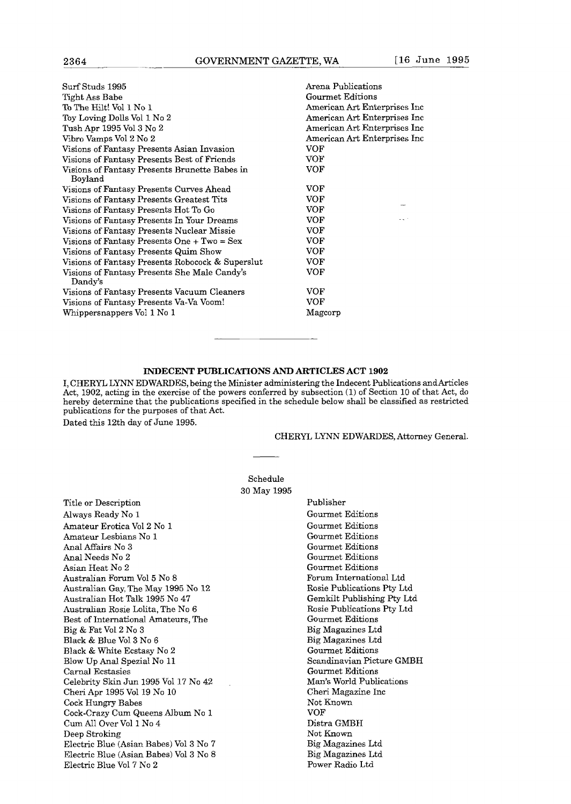| Surf Studs 1995                                         | Arena Publications            |
|---------------------------------------------------------|-------------------------------|
| Tight Ass Babe                                          | Gourmet Editions              |
| To The Hilt! Vol 1 No 1                                 | American Art Enterprises Inc. |
| Toy Loving Dolls Vol 1 No 2                             | American Art Enterprises Inc  |
| Tush Apr 1995 Vol 3 No 2                                | American Art Enterprises Inc  |
| Vibro Vamps Vol 2 No 2                                  | American Art Enterprises Inc. |
| Visions of Fantasy Presents Asian Invasion              | VOF                           |
| Visions of Fantasy Presents Best of Friends             | VOF                           |
| Visions of Fantasy Presents Brunette Babes in           | VOF                           |
| Boyland                                                 |                               |
| Visions of Fantasy Presents Curves Ahead                | VOF                           |
| Visions of Fantasy Presents Greatest Tits               | VOF                           |
| Visions of Fantasy Presents Hot To Go                   | VOF                           |
| Visions of Fantasy Presents In Your Dreams              | VOF                           |
| Visions of Fantasy Presents Nuclear Missie              | VOF                           |
| Visions of Fantasy Presents One + $Two = Sex$           | VOF                           |
| Visions of Fantasy Presents Quim Show                   | VOF                           |
| Visions of Fantasy Presents Robocock & Superslut        | VOF                           |
| Visions of Fantasy Presents She Male Candy's<br>Dandy's | VOF                           |
| Visions of Fantasy Presents Vacuum Cleaners             | VOF                           |
| Visions of Fantasy Presents Va-Va Voom!                 | VOF                           |
| Whippersnappers Vol 1 No 1                              | Magcorp                       |
|                                                         |                               |

# **INDECENT PUBLICATIONS AND ARTICLES ACT 1902**

I, CHERYL LYNN EDWARDES, being the Minister administering the Indecent Publications andArticles Act, 1902, acting in the exercise of the powers conferred by subsection **(1)** of Section 10 of that **Act,** do hereby determine that the publications specified in the schedule below shall be classified as restricted publications for the purposes of that Act.

> Schedule 30 May 1995

Dated this 12th day of June 1995.

#### CHERYL LYNN EDWARDES, Attorney General.

Title or Description Always Ready No 1 Amateur Erotica V012 No 1 Amateur Lesbians No 1 **And** Affairs No 3 **Anal** Needs No 2 Asian Heat No 2 Australian Forum V015 No 8 Australian Gay, The May 1995 No 12 Australian Hot Talk 1995 No 47 Australian Rosie Lolita, The No 6 Best of International Amateurs, The Big & Fat V012 No **3**  Black & Blue V013 No **6**  Black & White Ecstasy No 2 Blow Up Anal Spezial No 11 Carnal Ecstasies Celebrity Skin Jun 1995 Vol 17 No 42 Cheri Apr 1995 Vol 19 No 10 Cock Hungry Babes Cock-Crazy Curn Queens Album No 1 Cum All Over Vol 1 No 4 Deep Stroking Electric Blue (Asian Babes) V013 No 7 Electric Blue (Asian Babes) V013 No 8 Electric Blue V017 No 2

Publisher Gourmet Editions Gourmet Editions Gourmet Editions Gourmet Editions Gourmet Editions Gourmet Editions Forum International Ltd Rosie Publications Pty Ltd Gemkilt Publishing Pty Ltd Rosie Publications Pty Ltd Gourmet Editions Big Magazines Ltd Big Magazines Ltd Gourrnet Editions Scandinavian Picture GMBH Gourmet Editions Man's World Publications Cheri Magazine lnc Not Known VOF Distra GMBII Not Known Big Magazines Ltd Big Magazines Ltd Power Radio Ltd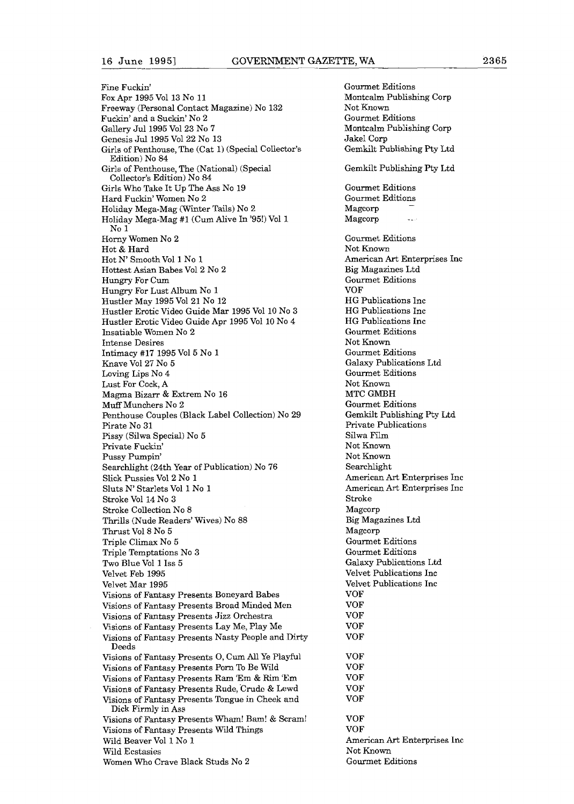Fine Fuckin' Fox Apr 1995 Vol 13 No 11 Freeway (Personal Contact Magazine) No 132 Fuckin' and a Suckin' No 2 Gdery Jul1995 V0123 No **7**  Genesis Jul1995 V0122 No 13 Girls of Penthouse, The (Cat 1) (Special Collector's Edition) No 84 Girls of Penthouse, The (National) (Special Collector's Edition) No 84 Girls Who Take It Up The Ass No 19 Hard Fuckin' Women No 2 Holiday Mega-Mag (Winter Tails) No 2 Holiday Mega-Mag #1 (Cum Alive In '95!) Vol 1 No l Horny Women No 2 Hot & Hard Hot **N'** Smooth Vol 1 No 1 Hottest Asian Babes V012 No 2 Hungry For Cum Hungry For Lust Album No 1 Hustler May 1995 V0121 No 12 Hustler Erotic Video Guide Mar 1995 Vol 10 No **3**  Hustler Erotic Video Guide Apr 1995 Vol 10 No 4 Insatiable Women No 2 Intense Desires Intimacy **#17** 1995 V015 No 1 Knave V0127 No 5 Loving Lips No 4 Lust For Cock, A Magma Bizarr & Extrem No 16 Muff Munchers No 2 Penthouse Couples (Black Label Collection) No 29 Pirate No 31 Pissy (Silwa Special) No 5 Private Fuckin' Pussy Pumpin' Searchlight (24th Year of Publication) No 76 Slick Pussies V012 No 1 Sluts N' Starlets Vol 1 No 1 Stroke Vol 14 No 3 Stroke Collection No 8 Thrills (Nude Readers' Wives) No 88 Thrust V018 No 5 Triple Climax No 5 Triple Temptations No **3**  TWO Blue Vol 1 Iss 5 Velvet Feb 1995 Velvet Mar 1995 Visions of Fantasy Presents Boneyard Babes Visions of Fantasy Presents Broad Minded Mcn Visions of Fantasy Presents **Jizz** Orchestra Visions of Fantasy Presents Lay Me, Play Me Visions of Fantasy Presents Nasty People and Dirty Deeds Visions of Fantasy Presents 0, Cum AU Ye Playful Visions of Fantasy Presents Porn To Be Wild Visions of Fantasy Presents **Ram** 'Em & Rim 'Em Visions of Fantasy Presents Rude, Crudc & Lewd Visions of Fantasy Presents Tongue in Cheek and Dick Firmly in Ass Visions of Fantasy Presents Wham! Bam! & Scram! Visions of Fantasy Presents Wild Things wld Beaver Vol 1 No I Wild Ecstasies

Women Who Crave Black Studs No 2

Gourmet Editions Montcalm Publishing Corp Not Known Gourmet Editions Montcalm Publishing Corp JakeI Corp Gemkilt Publishing Pty Ltd Gemkilt Publishing Pty Ltd Gourmet Editions Gourmet Editions Magcorp Magcorp Gourmet Editions Not Known American **Art** Enterprises Inc Big Magazines Ltd Gourmet Editions VOF HG Publications Inc HG Publications Inc HG Publications Inc Gourmet Editions Not Known Gourmet Editions Galaxy Publications Ltd Gourmet Editions Not Known MTC GMBH Gourmet Editions Gemkilt Publishing Pty Ltd Private Publications Silwa Film Not Known Not Known Searchlight American **Art** Enterprises Inc American Art Enterprises Inc Stroke Magcorp Big Magazines Ltd Magcorp Gourmet Editions Gourmet Editions **Galaxy** Publications Ltd Velvet Publications Inc Velvet Publications Inc VOF VOF VOF VOF VOF VOF VOF VOF VOF VOF VOP VOF American Art Enterprises Inc Not Known Gourmet Editions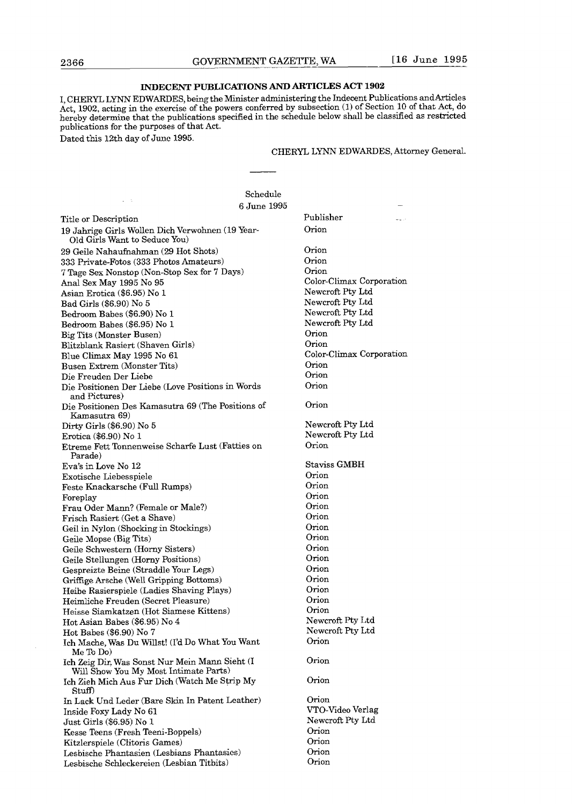# **INDECENT PUBLICATIONS AND ARTICLES ACT** 1902

I, CHERYL LYNN EDWARDES, being the Minister administering the Indecent Publications and Articles Act, 1902, acting in the exercise of the powers conferred by subsection  $(1)$  of Section 10 of that Act, do hereby determine that the publications specified in the schedule below shall be classified as restricted publications for the purposes of that Act.

Dated this 12th day of June 1995.

# CHERYL LYNN EDWARDES, Attorney General.

|                                                                                         | Schedule    |                                      |
|-----------------------------------------------------------------------------------------|-------------|--------------------------------------|
|                                                                                         | 6 June 1995 |                                      |
| Title or Description                                                                    |             | Publisher<br>an an                   |
| 19 Jahrige Girls Wollen Dich Verwohnen (19 Year-<br>Old Girls Want to Seduce You)       |             | Orion                                |
| 29 Geile Nahaufnahman (29 Hot Shots)                                                    |             | Orion                                |
| 333 Private-Fotos (333 Photos Amateurs)                                                 |             | Orion                                |
| 7 Tage Sex Nonstop (Non-Stop Sex for 7 Days)                                            |             | Orion                                |
| Anal Sex May 1995 No 95                                                                 |             | Color-Climax Corporation             |
| Asian Erotica (\$6.95) No 1                                                             |             | Newcroft Pty Ltd                     |
| Bad Girls (\$6.90) No 5                                                                 |             | Newcroft Pty Ltd                     |
| Bedroom Babes (\$6.90) No 1                                                             |             | Newcroft Pty Ltd                     |
| Bedroom Babes (\$6.95) No 1                                                             |             | Newcroft Pty Ltd                     |
| Big Tits (Monster Busen)                                                                |             | Orion                                |
| Blitzblank Rasiert (Shaven Girls)                                                       |             | Orion                                |
| Blue Climax May 1995 No 61                                                              |             | Color-Climax Corporation             |
| Busen Extrem (Monster Tits)                                                             |             | Orion                                |
| Die Freuden Der Liebe                                                                   |             | Orion                                |
| Die Positionen Der Liebe (Love Positions in Words<br>and Pictures)                      |             | Orion                                |
| Die Positionen Des Kamasutra 69 (The Positions of<br>Kamasutra 69)                      |             | Orion                                |
| Dirty Girls $(\$6.90)$ No 5                                                             |             | Newcroft Pty Ltd                     |
| Erotica (\$6.90) No 1                                                                   |             | Newcroft Pty Ltd                     |
| Etreme Fett Tonnenweise Scharfe Lust (Fatties on<br>Parade)                             |             | Orion                                |
| Eva's in Love No 12                                                                     |             | Staviss GMBH                         |
| Exotische Liebesspiele                                                                  |             | Orion                                |
| Feste Knackarsche (Full Rumps)                                                          |             | Orion                                |
| Foreplay                                                                                |             | Orion                                |
| Frau Oder Mann? (Female or Male?)                                                       |             | Orion                                |
| Frisch Rasiert (Get a Shave)                                                            |             | Orion                                |
| Geil in Nylon (Shocking in Stockings)                                                   |             | Orion                                |
| Geile Mopse (Big Tits)                                                                  |             | Orion                                |
| Geile Schwestern (Horny Sisters)                                                        |             | Orion                                |
| Geile Stellungen (Horny Positions)                                                      |             | Orion                                |
| Gespreizte Beine (Straddle Your Legs)                                                   |             | Orion                                |
| Griffige Arsche (Well Gripping Bottoms)                                                 |             | Orion                                |
| Heibe Rasierspiele (Ladies Shaving Plays)                                               |             | Orion                                |
| Heimliche Freuden (Secret Pleasure)                                                     |             | $O$ rion                             |
| Heisse Siamkatzen (Hot Siamese Kittens)                                                 |             | Orion                                |
| Hot Asian Babes (\$6.95) No 4                                                           |             | Newcroft Pty Ltd<br>Newcroft Pty Ltd |
| Hot Babes (\$6.90) No 7                                                                 |             | Orion                                |
| Ich Mache, Was Du Willst! (I'd Do What You Want<br>Me To Do)                            |             | Orion                                |
| Ich Zeig Dir, Was Sonst Nur Mein Mann Sieht (I<br>Will Show You My Most Intimate Parts) |             |                                      |
| Ich Zieh Mich Aus Fur Dich (Watch Me Strip My<br>Stuff)                                 |             | Orion                                |
| In Lack Und Leder (Bare Skin In Patent Leather)                                         |             | Orion                                |
| Inside Foxy Lady No 61                                                                  |             | VTO-Video Verlag                     |
| Just Girls (\$6.95) No 1                                                                |             | Newcroft Pty Ltd                     |
| Kesse Teens (Fresh Teeni-Boppels)                                                       |             | Orion                                |
| Kitzlerspiele (Clitoris Games)                                                          |             | Orion                                |
| Lesbische Phantasien (Lesbians Phantasies)<br>Lesbische Schleckereien (Lesbian Titbits) |             | Orion<br>Orion                       |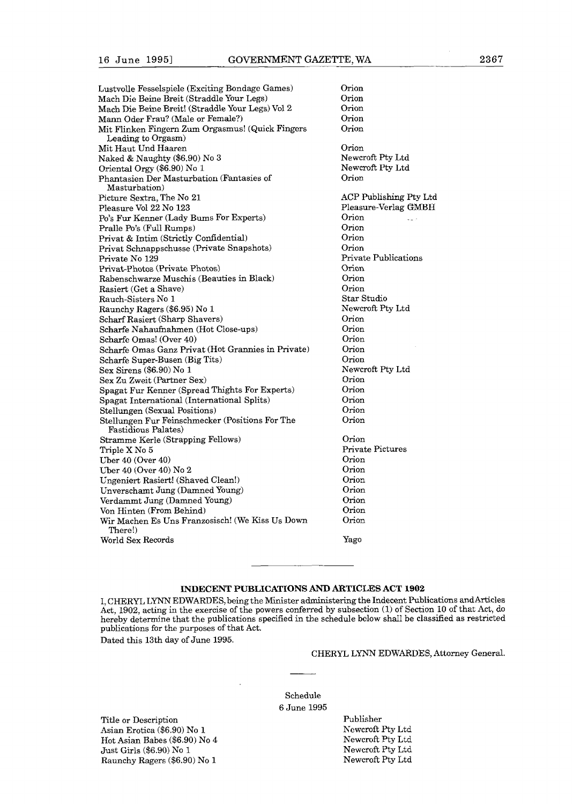| Lustvolle Fesselspiele (Exciting Bondage Games)    | Orion                  |
|----------------------------------------------------|------------------------|
| Mach Die Beine Breit (Straddle Your Legs)          | Orion                  |
| Mach Die Beine Breit! (Straddle Your Legs) Vol 2   | Orion                  |
| Mann Oder Frau? (Male or Female?)                  | Orion                  |
| Mit Flinken Fingern Zum Orgasmus! (Quick Fingers   | Orion                  |
| Leading to Orgasm)                                 |                        |
| Mit Haut Und Haaren                                | Orion                  |
| Naked & Naughty (\$6.90) No 3                      | Newcroft Pty Ltd       |
| Oriental Orgy (\$6.90) No 1                        | Newcroft Pty Ltd       |
| Phantasien Der Masturbation (Fantasies of          | Orion                  |
| Masturbation)                                      |                        |
| Picture Sextra, The No 21                          | ACP Publishing Pty Ltd |
| Pleasure Vol 22 No 123                             | Pleasure-Verlag GMBH   |
| Po's Fur Kenner (Lady Bums For Experts)            | Orion<br>وربي          |
| Pralle Po's (Full Rumps)                           | Orion                  |
| Privat & Intim (Strictly Confidential)             | Orion                  |
| Privat Schnappschusse (Private Snapshots)          | Orion                  |
| Private No 129                                     | Private Publications   |
| Privat-Photos (Private Photos)                     | Orion                  |
| Rabenschwarze Muschis (Beauties in Black)          | Orion                  |
| Rasiert (Get a Shave)                              | Orion                  |
| Rauch-Sisters No 1                                 | Star Studio            |
| Raunchy Ragers (\$6.95) No 1                       | Newcroft Pty Ltd       |
| Scharf Rasiert (Sharp Shavers)                     | Orion                  |
| Scharfe Nahaufnahmen (Hot Close-ups)               | Orion                  |
| Scharfe Omas! (Over 40)                            | Orion                  |
| Scharfe Omas Ganz Privat (Hot Grannies in Private) | Orion                  |
| Scharfe Super-Busen (Big Tits)                     | Orion                  |
| Sex Sirens (\$6.90) No 1                           | Newcroft Pty Ltd       |
| Sex Zu Zweit (Partner Sex)                         | Orion                  |
| Spagat Fur Kenner (Spread Thights For Experts)     | Orion                  |
| Spagat International (International Splits)        | Orion                  |
| Stellungen (Sexual Positions)                      | Orion                  |
| Stellungen Fur Feinschmecker (Positions For The    | Orion                  |
| Fastidious Palates)                                |                        |
| Stramme Kerle (Strapping Fellows)                  | Orion                  |
| Triple X No 5                                      | Private Pictures       |
| Uber 40 (Over 40)                                  | Orion                  |
| Uber 40 (Over 40) No 2                             | Orion                  |
| Ungeniert Rasiert! (Shaved Clean!)                 | Orion                  |
| Unverschamt Jung (Damned Young)                    | Orion                  |
| Verdammt Jung (Damned Young)                       | Orion                  |
| Von Hinten (From Behind)                           | Orion                  |
| Wir Machen Es Uns Franzosisch! (We Kiss Us Down    | Orion                  |
| There!)                                            |                        |
| World Sex Records                                  | Yago                   |
|                                                    |                        |

# INDECENT PUBLICATIONS AND ARTICLES ACT 1902

1, CHERYL LYNN EDWARDES, being the Minister administering the Indecent Publications **andArticles**  Act, 1902, acting in the exercise of the powers conferred by subsection **(1)** of Section 10 of that Act, do hereby determine that the publications specified in the schedule below shall be classified as restricted publications for the purposes of that Act.

Dated this 13th day of June 1995.

# CHERYL LYNN EDWARUES, Athomey General.

Schedule 6 June 1995

Title or Description Asian Erotica (\$6.90) No 1 Hot Asian Babes (\$6.90) No 4 Just Girls (\$6.90) No 1 Raunchy Ragers (\$6.90) No 1

Publisher Newcroft Pty Ltd Newcroft Pty Ltd Newcroft Pty Ltd Newcroft Pty Ltd